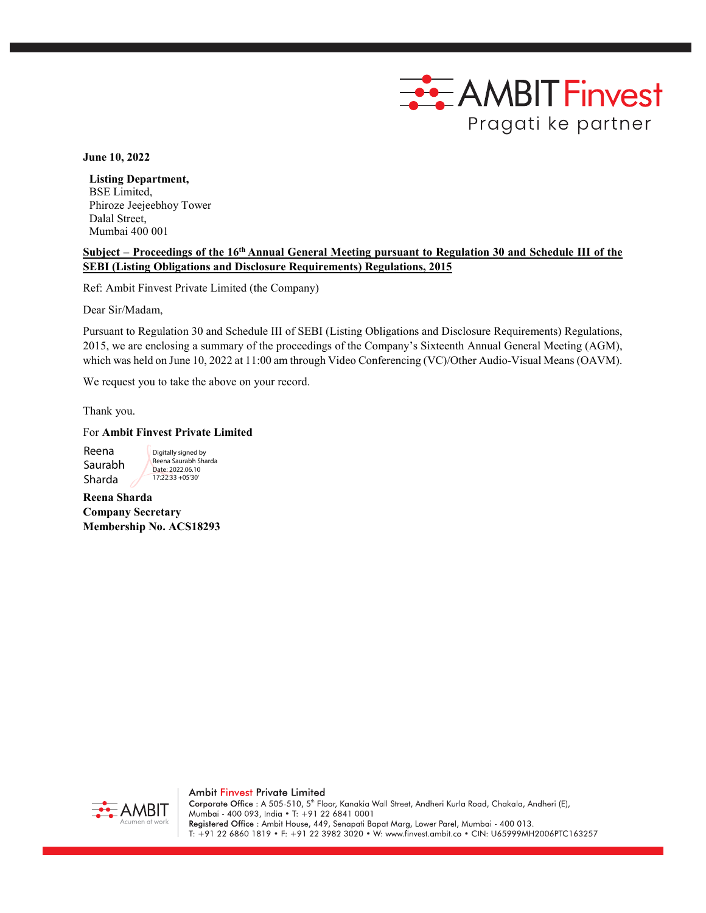

**June 10, 2022**

**Listing Department,** BSE Limited, Phiroze Jeejeebhoy Tower Dalal Street, Mumbai 400 001

## **Subject – Proceedings of the 16th Annual General Meeting pursuant to Regulation 30 and Schedule III of the SEBI (Listing Obligations and Disclosure Requirements) Regulations, 2015**

Ref: Ambit Finvest Private Limited (the Company)

Dear Sir/Madam,

Pursuant to Regulation 30 and Schedule III of SEBI (Listing Obligations and Disclosure Requirements) Regulations, 2015, we are enclosing a summary of the proceedings of the Company's Sixteenth Annual General Meeting (AGM), which was held on June 10, 2022 at 11:00 am through Video Conferencing (VC)/Other Audio-Visual Means (OAVM).

We request you to take the above on your record.

Thank you.

For **Ambit Finvest Private Limited**

Reena Saurabh Sharda

Digitally signed by Reena Saurabh Sharda Date: 2022.06.10 17:22:33 +05'30'

**Reena Sharda Company Secretary Membership No. ACS18293**



Ambit Finvest Private Limited Corporate Office : A 505-510, 5<sup>th</sup> Floor, Kanakia Wall Street, Andheri Kurla Road, Chakala, Andheri (E), Mumbai - 400 093, India • T: +91 22 6841 0001 Registered Office: Ambit House, 449, Senapati Bapat Marg, Lower Parel, Mumbai - 400 013. T: +91 22 6860 1819 • F: +91 22 3982 3020 • W: www.finvest.ambit.co • CIN: U65999MH2006PTC163257